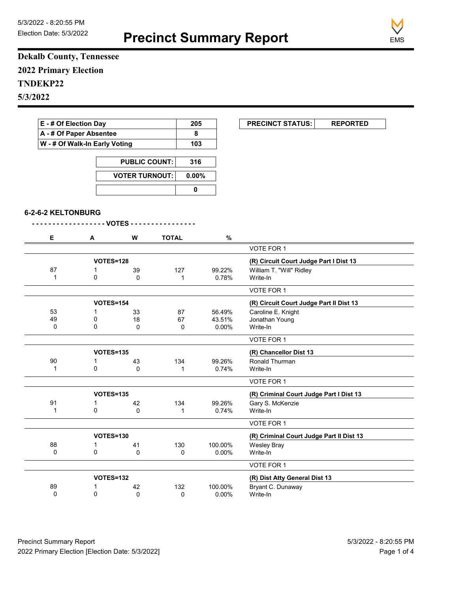**Precinct Summary Report**



J.

**Dekalb County, Tennessee 2022 Primary Election TNDEKP22 5/3/2022**

| E - # Of Election Day<br>A - # Of Paper Absentee |                               |                       |              | 205         | <b>PRECINCT STATUS:</b><br><b>REPORTED</b>                     |
|--------------------------------------------------|-------------------------------|-----------------------|--------------|-------------|----------------------------------------------------------------|
|                                                  |                               |                       |              | 8           |                                                                |
|                                                  | W - # Of Walk-In Early Voting |                       |              | 103         |                                                                |
|                                                  | <b>PUBLIC COUNT:</b>          |                       |              | 316         |                                                                |
|                                                  |                               | <b>VOTER TURNOUT:</b> |              | 0.00%       |                                                                |
|                                                  |                               |                       |              | $\mathbf 0$ |                                                                |
| 6-2-6-2 KELTONBURG                               |                               |                       |              |             |                                                                |
|                                                  |                               | - VOTES - - - - - -   |              |             |                                                                |
| Е                                                | A                             | W                     | <b>TOTAL</b> | $\%$        |                                                                |
|                                                  |                               |                       |              |             | VOTE FOR 1                                                     |
|                                                  |                               | <b>VOTES=128</b>      |              |             | (R) Circuit Court Judge Part I Dist 13                         |
| 87                                               | 1                             | 39                    | 127          | 99.22%      | William T. "Will" Ridley                                       |
| 1                                                | 0                             | $\Omega$              | $\mathbf{1}$ | 0.78%       | Write-In                                                       |
|                                                  |                               |                       |              |             | VOTE FOR 1                                                     |
|                                                  |                               | <b>VOTES=154</b>      |              |             | (R) Circuit Court Judge Part II Dist 13                        |
| 53                                               | $\mathbf{1}$                  | 33                    | 87           | 56.49%      | Caroline E. Knight                                             |
| 49                                               | 0                             | 18                    | 67           | 43.51%      | Jonathan Young                                                 |
| 0                                                | 0                             | 0                     | 0            | 0.00%       | Write-In                                                       |
|                                                  |                               |                       |              |             | VOTE FOR 1                                                     |
|                                                  |                               | <b>VOTES=135</b>      |              |             | (R) Chancellor Dist 13                                         |
| 90                                               | 1                             | 43                    | 134          | 99.26%      | Ronald Thurman                                                 |
| $\mathbf{1}$                                     | 0                             | $\mathbf 0$           | $\mathbf{1}$ | 0.74%       | Write-In                                                       |
|                                                  |                               |                       |              |             | VOTE FOR 1                                                     |
|                                                  |                               | <b>VOTES=135</b>      |              |             | (R) Criminal Court Judge Part I Dist 13                        |
| 91                                               | 1                             | 42                    | 134          | 99.26%      | Gary S. McKenzie                                               |
| $\mathbf{1}$                                     | $\Omega$                      | $\Omega$              | $\mathbf{1}$ | 0.74%       | Write-In                                                       |
|                                                  |                               |                       |              |             | VOTE FOR 1                                                     |
|                                                  |                               |                       |              |             |                                                                |
|                                                  |                               | <b>VOTES=130</b>      |              |             |                                                                |
| 88                                               | 1                             | 41                    | 130          | 100.00%     | (R) Criminal Court Judge Part II Dist 13<br><b>Wesley Bray</b> |

|    |           |    |     |                               | VOTE FOR 1        |  |
|----|-----------|----|-----|-------------------------------|-------------------|--|
|    |           |    |     |                               |                   |  |
|    | VOTES=132 |    |     | (R) Dist Atty General Dist 13 |                   |  |
| 89 |           | 42 | 132 | 100.00%                       | Bryant C. Dunaway |  |
|    |           |    |     | $0.00\%$                      | Write-In          |  |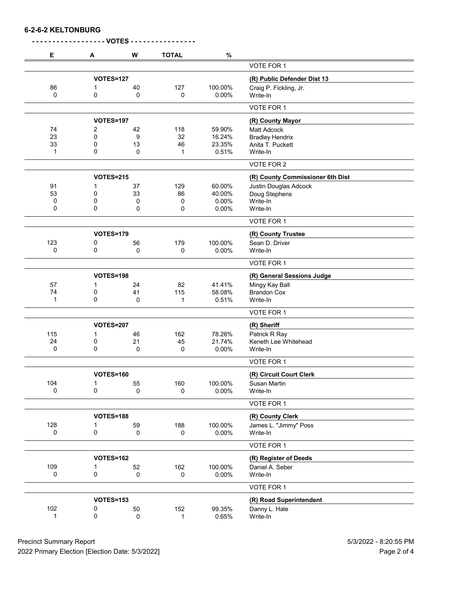**6-2-6-2 KELTONBURG**

| Е   | A                | W           | <b>TOTAL</b> | $\%$    |                                  |
|-----|------------------|-------------|--------------|---------|----------------------------------|
|     |                  |             |              |         | <b>VOTE FOR 1</b>                |
|     | <b>VOTES=127</b> |             |              |         | (R) Public Defender Dist 13      |
| 86  | 1                | 40          | 127          | 100.00% | Craig P. Fickling, Jr.           |
| 0   | 0                | 0           | 0            | 0.00%   | Write-In                         |
|     |                  |             |              |         | VOTE FOR 1                       |
|     | VOTES=197        |             |              |         | (R) County Mayor                 |
| 74  | 2                | 42          | 118          | 59.90%  | Matt Adcock                      |
| 23  | 0                | 9           | 32           | 16.24%  | <b>Bradley Hendrix</b>           |
| 33  | 0                | 13          | 46           | 23.35%  | Anita T. Puckett                 |
| 1   | 0                | 0           | 1            | 0.51%   | Write-In                         |
|     |                  |             |              |         | VOTE FOR 2                       |
|     | <b>VOTES=215</b> |             |              |         | (R) County Commissioner 6th Dist |
| 91  | 1                | 37          | 129          | 60.00%  | Justin Douglas Adcock            |
| 53  | 0                | 33          | 86           | 40.00%  | Doug Stephens                    |
| 0   | 0                | 0           | 0            | 0.00%   | Write-In                         |
| 0   | 0                | 0           | 0            | 0.00%   | Write-In                         |
|     |                  |             |              |         | VOTE FOR 1                       |
|     | <b>VOTES=179</b> |             |              |         | (R) County Trustee               |
| 123 | 0                | 56          | 179          | 100.00% | Sean D. Driver                   |
| 0   | 0                | 0           | 0            | 0.00%   | Write-In                         |
|     |                  |             |              |         | VOTE FOR 1                       |
|     |                  |             |              |         |                                  |
|     | VOTES=198        |             |              |         | (R) General Sessions Judge       |
| 57  | 1                | 24          | 82           | 41.41%  | Mingy Kay Ball                   |
| 74  | 0                | 41          | 115          | 58.08%  | <b>Brandon Cox</b>               |
| 1   | 0                | $\mathbf 0$ | $\mathbf{1}$ | 0.51%   | Write-In                         |
|     |                  |             |              |         | VOTE FOR 1                       |
|     | <b>VOTES=207</b> |             |              |         | (R) Sheriff                      |
| 115 | 1                | 46          | 162          | 78.26%  | Patrick R Ray                    |
| 24  | 0                | 21          | 45           | 21.74%  | Keneth Lee Whitehead             |
| 0   | 0                | 0           | 0            | 0.00%   | Write-In                         |
|     |                  |             |              |         | VOTE FOR 1                       |
|     | <b>VOTES=160</b> |             |              |         | (R) Circuit Court Clerk          |
| 104 |                  | 55          | 160          | 100.00% | Susan Martin                     |
| 0   | 0                | 0           | 0            | 0.00%   | Write-In                         |
|     |                  |             |              |         | VOTE FOR 1                       |
|     | VOTES=188        |             |              |         | (R) County Clerk                 |
| 128 | 1                | 59          | 188          | 100.00% | James L. "Jimmy" Poss            |
| 0   | 0                | 0           | 0            | 0.00%   | Write-In                         |
|     |                  |             |              |         |                                  |
|     |                  |             |              |         | VOTE FOR 1                       |
|     | <b>VOTES=162</b> |             |              |         | (R) Register of Deeds            |
| 109 | 1                | 52          | 162          | 100.00% | Daniel A. Seber                  |
| 0   | 0                | 0           | 0            | 0.00%   | Write-In                         |
|     |                  |             |              |         | VOTE FOR 1                       |
|     | <b>VOTES=153</b> |             |              |         | (R) Road Superintendent          |
| 102 | 0                | 50          | 152          | 99.35%  | Danny L. Hale                    |
| 1   | 0                | 0           | 1            | 0.65%   | Write-In                         |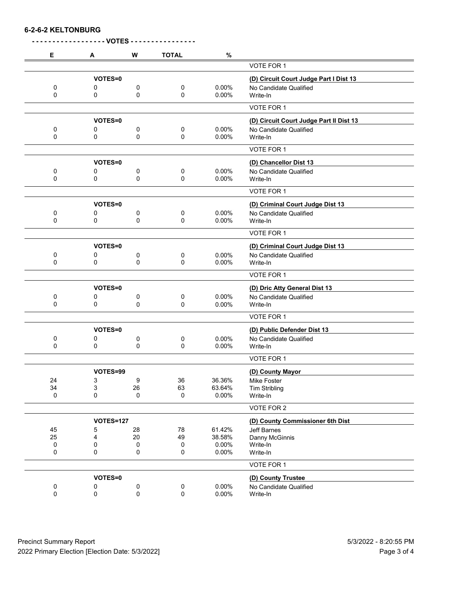**6-2-6-2 KELTONBURG**

| Е         | A                | W                | <b>TOTAL</b>       | %      |                                         |
|-----------|------------------|------------------|--------------------|--------|-----------------------------------------|
|           |                  |                  |                    |        | VOTE FOR 1                              |
|           | VOTES=0          |                  |                    |        | (D) Circuit Court Judge Part I Dist 13  |
| 0         | 0                | 0                | 0                  | 0.00%  | No Candidate Qualified                  |
| 0         | 0                | 0                | 0                  | 0.00%  | Write-In                                |
|           |                  |                  |                    |        | VOTE FOR 1                              |
|           | VOTES=0          |                  |                    |        | (D) Circuit Court Judge Part II Dist 13 |
| 0         | 0                | 0                | 0                  | 0.00%  | No Candidate Qualified                  |
| 0         | 0                | 0                | 0                  | 0.00%  | Write-In                                |
|           |                  |                  |                    |        | <b>VOTE FOR 1</b>                       |
|           | VOTES=0          |                  |                    |        | (D) Chancellor Dist 13                  |
| 0         | 0                | 0                | 0                  | 0.00%  | No Candidate Qualified                  |
| 0         | 0                | $\mathbf 0$      | $\mathbf 0$        | 0.00%  | Write-In                                |
|           |                  |                  |                    |        | <b>VOTE FOR 1</b>                       |
|           | VOTES=0          |                  |                    |        | (D) Criminal Court Judge Dist 13        |
| 0         | 0                | 0                | 0                  | 0.00%  | No Candidate Qualified                  |
| 0         | 0                | 0                | 0                  | 0.00%  | Write-In                                |
|           |                  |                  |                    |        | VOTE FOR 1                              |
|           | VOTES=0          |                  |                    |        | (D) Criminal Court Judge Dist 13        |
| 0         | 0                | 0                | 0                  | 0.00%  | No Candidate Qualified                  |
| 0         | 0                | 0                | 0                  | 0.00%  | Write-In                                |
|           |                  |                  |                    |        | VOTE FOR 1                              |
|           | VOTES=0          |                  |                    |        | (D) Dric Atty General Dist 13           |
| 0         | 0                | 0                | 0                  | 0.00%  | No Candidate Qualified                  |
| 0         | 0                | 0                | $\mathbf 0$        | 0.00%  | Write-In                                |
|           |                  |                  |                    |        | VOTE FOR 1                              |
|           | <b>VOTES=0</b>   |                  |                    |        | (D) Public Defender Dist 13             |
| 0         | 0                | 0                | 0                  | 0.00%  | No Candidate Qualified                  |
| 0         | 0                | 0                | 0                  | 0.00%  | Write-In                                |
|           |                  |                  |                    |        | VOTE FOR 1                              |
|           | VOTES=99         |                  |                    |        | (D) County Mayor                        |
| 24        | 3                | $\boldsymbol{9}$ | 36                 | 36.36% | Mike Foster                             |
| 34        | 3                | 26               | 63                 | 63.64% | <b>Tim Stribling</b>                    |
| $\pmb{0}$ | 0                | 0                | 0                  | 0.00%  | Write-In                                |
|           |                  |                  |                    |        | VOTE FOR 2                              |
|           | <b>VOTES=127</b> |                  |                    |        | (D) County Commissioner 6th Dist        |
| 45        | 5                | 28               | 78                 | 61.42% | Jeff Barnes                             |
| 25        | 4                | 20               | 49                 | 38.58% | Danny McGinnis                          |
| 0         | 0                | 0                | 0                  | 0.00%  | Write-In                                |
| $\pmb{0}$ | 0                | 0                | 0                  | 0.00%  | Write-In                                |
|           |                  |                  |                    |        | VOTE FOR 1                              |
|           | VOTES=0          |                  | (D) County Trustee |        |                                         |
| $\pmb{0}$ | 0                | 0                | 0                  | 0.00%  | No Candidate Qualified                  |
| $\pmb{0}$ | 0                | 0                | $\pmb{0}$          | 0.00%  | Write-In                                |